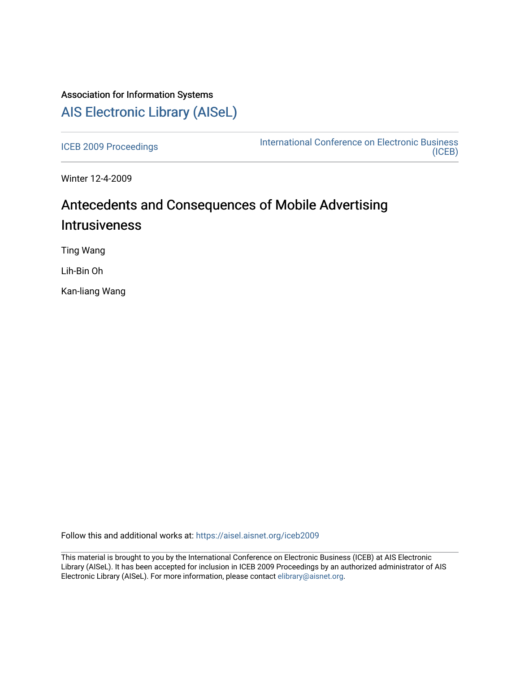# Association for Information Systems [AIS Electronic Library \(AISeL\)](https://aisel.aisnet.org/)

[ICEB 2009 Proceedings](https://aisel.aisnet.org/iceb2009) **International Conference on Electronic Business** [\(ICEB\)](https://aisel.aisnet.org/iceb) 

Winter 12-4-2009

# Antecedents and Consequences of Mobile Advertising **Intrusiveness**

Ting Wang

Lih-Bin Oh

Kan-liang Wang

Follow this and additional works at: [https://aisel.aisnet.org/iceb2009](https://aisel.aisnet.org/iceb2009?utm_source=aisel.aisnet.org%2Ficeb2009%2F113&utm_medium=PDF&utm_campaign=PDFCoverPages)

This material is brought to you by the International Conference on Electronic Business (ICEB) at AIS Electronic Library (AISeL). It has been accepted for inclusion in ICEB 2009 Proceedings by an authorized administrator of AIS Electronic Library (AISeL). For more information, please contact [elibrary@aisnet.org.](mailto:elibrary@aisnet.org%3E)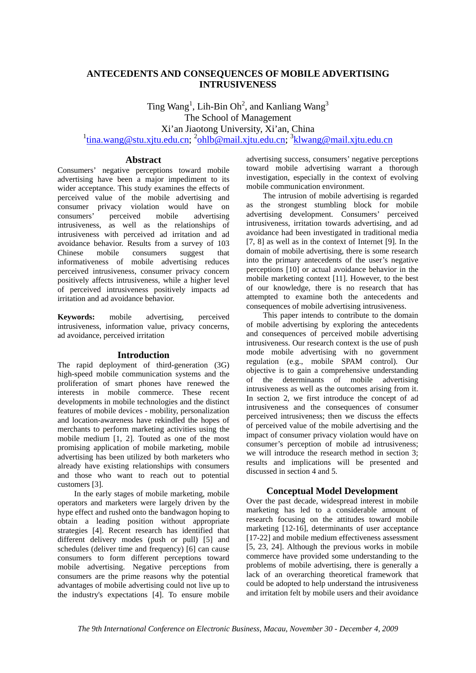# **ANTECEDENTS AND CONSEQUENCES OF MOBILE ADVERTISING INTRUSIVENESS**

Ting  $Wang<sup>1</sup>$ , Lih-Bin Oh<sup>2</sup>, and Kanliang  $Wang<sup>3</sup>$ The School of Management Xi'an Jiaotong University, Xi'an, China <sup>1</sup>tina.wang@stu.xjtu.edu.cn; <sup>2</sup>ohlb@mail.xjtu.edu.cn; <sup>3</sup>klwang@mail.xjtu.edu.cn

#### **Abstract**

Consumers' negative perceptions toward mobile advertising have been a major impediment to its wider acceptance. This study examines the effects of perceived value of the mobile advertising and consumer privacy violation would have on<br>consumers' perceived mobile advertising perceived mobile advertising intrusiveness, as well as the relationships of intrusiveness with perceived ad irritation and ad avoidance behavior. Results from a survey of 103 mobile consumers suggest that informativeness of mobile advertising reduces perceived intrusiveness, consumer privacy concern positively affects intrusiveness, while a higher level of perceived intrusiveness positively impacts ad irritation and ad avoidance behavior.

**Keywords:** mobile advertising, perceived intrusiveness, information value, privacy concerns, ad avoidance, perceived irritation

## **Introduction**

The rapid deployment of third-generation (3G) high-speed mobile communication systems and the proliferation of smart phones have renewed the interests in mobile commerce. These recent developments in mobile technologies and the distinct features of mobile devices - mobility, personalization and location-awareness have rekindled the hopes of merchants to perform marketing activities using the mobile medium [1, 2]. Touted as one of the most promising application of mobile marketing, mobile advertising has been utilized by both marketers who already have existing relationships with consumers and those who want to reach out to potential customers [3].

In the early stages of mobile marketing, mobile operators and marketers were largely driven by the hype effect and rushed onto the bandwagon hoping to obtain a leading position without appropriate strategies [4]. Recent research has identified that different delivery modes (push or pull) [5] and schedules (deliver time and frequency) [6] can cause consumers to form different perceptions toward mobile advertising. Negative perceptions from consumers are the prime reasons why the potential advantages of mobile advertising could not live up to the industry's expectations [4]. To ensure mobile

advertising success, consumers' negative perceptions toward mobile advertising warrant a thorough investigation, especially in the context of evolving mobile communication environment.

The intrusion of mobile advertising is regarded as the strongest stumbling block for mobile advertising development. Consumers' perceived intrusiveness, irritation towards advertising, and ad avoidance had been investigated in traditional media [7, 8] as well as in the context of Internet [9]. In the domain of mobile advertising, there is some research into the primary antecedents of the user's negative perceptions [10] or actual avoidance behavior in the mobile marketing context [11]. However, to the best of our knowledge, there is no research that has attempted to examine both the antecedents and consequences of mobile advertising intrusiveness.

This paper intends to contribute to the domain of mobile advertising by exploring the antecedents and consequences of perceived mobile advertising intrusiveness. Our research context is the use of push mode mobile advertising with no government regulation (e.g., mobile SPAM control). Our objective is to gain a comprehensive understanding of the determinants of mobile advertising intrusiveness as well as the outcomes arising from it. In section 2, we first introduce the concept of ad intrusiveness and the consequences of consumer perceived intrusiveness; then we discuss the effects of perceived value of the mobile advertising and the impact of consumer privacy violation would have on consumer's perception of mobile ad intrusiveness; we will introduce the research method in section 3; results and implications will be presented and discussed in section 4 and 5.

## **Conceptual Model Development**

Over the past decade, widespread interest in mobile marketing has led to a considerable amount of research focusing on the attitudes toward mobile marketing [12-16], determinants of user acceptance [17-22] and mobile medium effectiveness assessment [5, 23, 24]. Although the previous works in mobile commerce have provided some understanding to the problems of mobile advertising, there is generally a lack of an overarching theoretical framework that could be adopted to help understand the intrusiveness and irritation felt by mobile users and their avoidance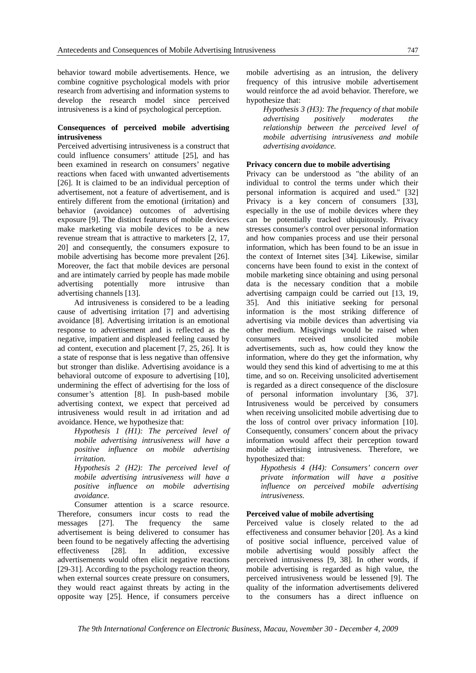behavior toward mobile advertisements. Hence, we combine cognitive psychological models with prior research from advertising and information systems to develop the research model since perceived intrusiveness is a kind of psychological perception.

#### **Consequences of perceived mobile advertising intrusiveness**

Perceived advertising intrusiveness is a construct that could influence consumers' attitude [25], and has been examined in research on consumers' negative reactions when faced with unwanted advertisements [26]. It is claimed to be an individual perception of advertisement, not a feature of advertisement, and is entirely different from the emotional (irritation) and behavior (avoidance) outcomes of advertising exposure [9]. The distinct features of mobile devices make marketing via mobile devices to be a new revenue stream that is attractive to marketers [2, 17, 20] and consequently, the consumers exposure to mobile advertising has become more prevalent [26]. Moreover, the fact that mobile devices are personal and are intimately carried by people has made mobile advertising potentially more intrusive than advertising channels [13].

Ad intrusiveness is considered to be a leading cause of advertising irritation [7] and advertising avoidance [8]. Advertising irritation is an emotional response to advertisement and is reflected as the negative, impatient and displeased feeling caused by ad content, execution and placement [7, 25, 26]. It is a state of response that is less negative than offensive but stronger than dislike. Advertising avoidance is a behavioral outcome of exposure to advertising [10], undermining the effect of advertising for the loss of consumer's attention [8]. In push-based mobile advertising context, we expect that perceived ad intrusiveness would result in ad irritation and ad avoidance. Hence, we hypothesize that:

*Hypothesis 1 (H1): The perceived level of mobile advertising intrusiveness will have a positive influence on mobile advertising irritation.* 

*Hypothesis 2 (H2): The perceived level of mobile advertising intrusiveness will have a positive influence on mobile advertising avoidance.* 

Consumer attention is a scarce resource. Therefore, consumers incur costs to read the messages [27]. The frequency the same advertisement is being delivered to consumer has been found to be negatively affecting the advertising effectiveness [28]. In addition, excessive advertisements would often elicit negative reactions [29-31]. According to the psychology reaction theory, when external sources create pressure on consumers, they would react against threats by acting in the opposite way [25]. Hence, if consumers perceive

mobile advertising as an intrusion, the delivery frequency of this intrusive mobile advertisement would reinforce the ad avoid behavior. Therefore, we hypothesize that:

*Hypothesis 3 (H3): The frequency of that mobile advertising positively moderates the relationship between the perceived level of mobile advertising intrusiveness and mobile advertising avoidance.* 

#### **Privacy concern due to mobile advertising**

Privacy can be understood as "the ability of an individual to control the terms under which their personal information is acquired and used." [32] Privacy is a key concern of consumers [33], especially in the use of mobile devices where they can be potentially tracked ubiquitously. Privacy stresses consumer's control over personal information and how companies process and use their personal information, which has been found to be an issue in the context of Internet sites [34]. Likewise, similar concerns have been found to exist in the context of mobile marketing since obtaining and using personal data is the necessary condition that a mobile advertising campaign could be carried out [13, 19, 35]. And this initiative seeking for personal information is the most striking difference of advertising via mobile devices than advertising via other medium. Misgivings would be raised when consumers received unsolicited mobile advertisements, such as, how could they know the information, where do they get the information, why would they send this kind of advertising to me at this time, and so on. Receiving unsolicited advertisement is regarded as a direct consequence of the disclosure of personal information involuntary [36, 37]. Intrusiveness would be perceived by consumers when receiving unsolicited mobile advertising due to the loss of control over privacy information [10]. Consequently, consumers' concern about the privacy information would affect their perception toward mobile advertising intrusiveness. Therefore, we hypothesized that:

*Hypothesis 4 (H4): Consumers' concern over private information will have a positive influence on perceived mobile advertising intrusiveness.* 

#### **Perceived value of mobile advertising**

Perceived value is closely related to the ad effectiveness and consumer behavior [20]. As a kind of positive social influence, perceived value of mobile advertising would possibly affect the perceived intrusiveness [9, 38]. In other words, if mobile advertising is regarded as high value, the perceived intrusiveness would be lessened [9]. The quality of the information advertisements delivered to the consumers has a direct influence on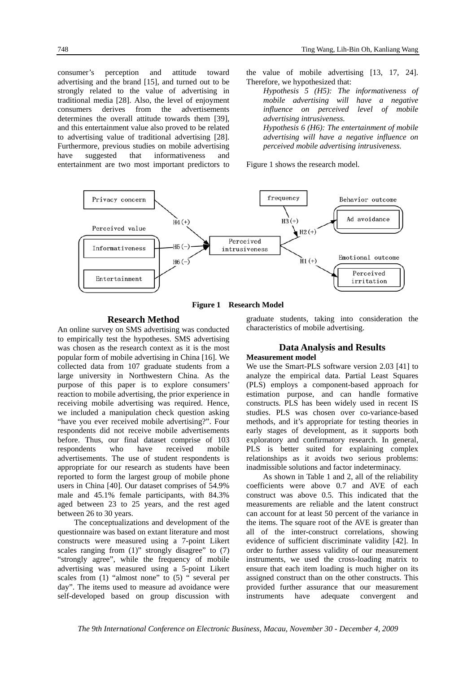consumer's perception and attitude toward advertising and the brand [15], and turned out to be strongly related to the value of advertising in traditional media [28]. Also, the level of enjoyment consumers derives from the advertisements determines the overall attitude towards them [39], and this entertainment value also proved to be related to advertising value of traditional advertising [28]. Furthermore, previous studies on mobile advertising have suggested that informativeness and entertainment are two most important predictors to the value of mobile advertising [13, 17, 24]. Therefore, we hypothesized that:

*Hypothesis 5 (H5): The informativeness of mobile advertising will have a negative influence on perceived level of mobile advertising intrusiveness. Hypothesis 6 (H6): The entertainment of mobile advertising will have a negative influence on* 

*perceived mobile advertising intrusiveness.* 

Figure 1 shows the research model.



**Figure 1 Research Model** 

#### **Research Method**

An online survey on SMS advertising was conducted to empirically test the hypotheses. SMS advertising was chosen as the research context as it is the most popular form of mobile advertising in China [16]. We collected data from 107 graduate students from a large university in Northwestern China. As the purpose of this paper is to explore consumers' reaction to mobile advertising, the prior experience in receiving mobile advertising was required. Hence, we included a manipulation check question asking "have you ever received mobile advertising?". Four respondents did not receive mobile advertisements before. Thus, our final dataset comprise of 103 respondents who have received mobile advertisements. The use of student respondents is appropriate for our research as students have been reported to form the largest group of mobile phone users in China [40]. Our dataset comprises of 54.9% male and 45.1% female participants, with 84.3% aged between 23 to 25 years, and the rest aged between 26 to 30 years.

The conceptualizations and development of the questionnaire was based on extant literature and most constructs were measured using a 7-point Likert scales ranging from  $(1)$ " strongly disagree" to  $(7)$ "strongly agree", while the frequency of mobile advertising was measured using a 5-point Likert scales from (1) "almost none" to (5) " several per day". The items used to measure ad avoidance were self-developed based on group discussion with

graduate students, taking into consideration the characteristics of mobile advertising.

# **Data Analysis and Results**

#### **Measurement model**

We use the Smart-PLS software version 2.03 [41] to analyze the empirical data. Partial Least Squares (PLS) employs a component-based approach for estimation purpose, and can handle formative constructs. PLS has been widely used in recent IS studies. PLS was chosen over co-variance-based methods, and it's appropriate for testing theories in early stages of development, as it supports both exploratory and confirmatory research. In general, PLS is better suited for explaining complex relationships as it avoids two serious problems: inadmissible solutions and factor indeterminacy.

As shown in Table 1 and 2, all of the reliability coefficients were above 0.7 and AVE of each construct was above 0.5. This indicated that the measurements are reliable and the latent construct can account for at least 50 percent of the variance in the items. The square root of the AVE is greater than all of the inter-construct correlations, showing evidence of sufficient discriminate validity [42]. In order to further assess validity of our measurement instruments, we used the cross-loading matrix to ensure that each item loading is much higher on its assigned construct than on the other constructs. This provided further assurance that our measurement instruments have adequate convergent and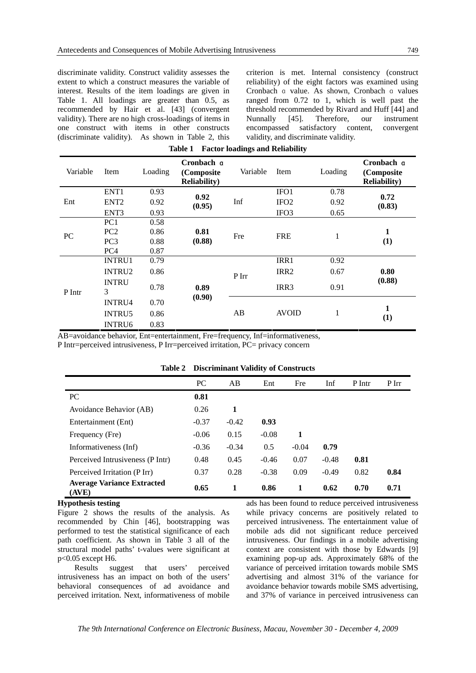discriminate validity. Construct validity assesses the extent to which a construct measures the variable of interest. Results of the item loadings are given in Table 1. All loadings are greater than 0.5, as recommended by Hair et al. [43] (convergent validity). There are no high cross-loadings of items in one construct with items in other constructs (discriminate validity). As shown in Table 2, this

criterion is met. Internal consistency (construct reliability) of the eight factors was examined using Cronbach a value. As shown, Cronbach a values ranged from 0.72 to 1, which is well past the threshold recommended by Rivard and Huff [44] and Nunnally [45]. Therefore, our instrument encompassed satisfactory content, convergent validity, and discriminate validity.

| Variable  | Item              | Loading | Cronbach q<br>(Composite<br><b>Reliability</b> ) | Variable | Item             | Loading | Cronbach q<br>(Composite<br><b>Reliability</b> ) |  |
|-----------|-------------------|---------|--------------------------------------------------|----------|------------------|---------|--------------------------------------------------|--|
| Ent       | ENT <sub>1</sub>  | 0.93    | 0.92<br>(0.95)                                   | Inf      | IFO1             | 0.78    | 0.72                                             |  |
|           | ENT <sub>2</sub>  | 0.92    |                                                  |          | IFO <sub>2</sub> | 0.92    | (0.83)                                           |  |
|           | ENT <sub>3</sub>  | 0.93    |                                                  |          | IFO <sub>3</sub> | 0.65    |                                                  |  |
| <b>PC</b> | PC <sub>1</sub>   | 0.58    | 0.81<br>(0.88)                                   | Fre      | <b>FRE</b>       | 1       |                                                  |  |
|           | PC <sub>2</sub>   | 0.86    |                                                  |          |                  |         | 1                                                |  |
|           | PC <sub>3</sub>   | 0.88    |                                                  |          |                  |         | (1)                                              |  |
|           | PC <sub>4</sub>   | 0.87    |                                                  |          |                  |         |                                                  |  |
| P Intr    | <b>INTRU1</b>     | 0.79    |                                                  | P Irr    | IRR1             | 0.92    |                                                  |  |
|           | <b>INTRU2</b>     | 0.86    | 0.89<br>(0.90)                                   |          | IRR <sub>2</sub> | 0.67    | 0.80                                             |  |
|           | <b>INTRU</b><br>3 | 0.78    |                                                  |          | IRR <sub>3</sub> | 0.91    | (0.88)                                           |  |
|           | <b>INTRU4</b>     | 0.70    |                                                  | AB       | <b>AVOID</b>     | 1       | 1<br>(1)                                         |  |
|           | <b>INTRU5</b>     | 0.86    |                                                  |          |                  |         |                                                  |  |
|           | <b>INTRU6</b>     | 0.83    |                                                  |          |                  |         |                                                  |  |

| Table 1 | <b>Factor loadings and Reliability</b> |  |
|---------|----------------------------------------|--|
|         |                                        |  |

AB=avoidance behavior, Ent=entertainment, Fre=frequency, Inf=informativeness,

P Intr=perceived intrusiveness, P Irr=perceived irritation, PC= privacy concern

|                                            |           | $22.0$ and $1.00$ and $1.00$ and $1.00$ and $1.00$ and $1.00$ and $1.00$ and $1.00$ and $1.00$ and $1.00$ and $1.00$ and $1.00$ and $1.00$ and $1.00$ and $1.00$ and $1.00$ and $1.00$ and $1.00$ and $1.00$ and $1.00$ and |         |         |         |        |       |
|--------------------------------------------|-----------|-----------------------------------------------------------------------------------------------------------------------------------------------------------------------------------------------------------------------------|---------|---------|---------|--------|-------|
|                                            | <b>PC</b> | AB                                                                                                                                                                                                                          | Ent     | Fre     | Inf     | P Intr | P Irr |
| <b>PC</b>                                  | 0.81      |                                                                                                                                                                                                                             |         |         |         |        |       |
| Avoidance Behavior (AB)                    | 0.26      | 1                                                                                                                                                                                                                           |         |         |         |        |       |
| Entertainment (Ent)                        | $-0.37$   | $-0.42$                                                                                                                                                                                                                     | 0.93    |         |         |        |       |
| Frequency (Fre)                            | $-0.06$   | 0.15                                                                                                                                                                                                                        | $-0.08$ | 1       |         |        |       |
| Informativeness (Inf)                      | $-0.36$   | $-0.34$                                                                                                                                                                                                                     | 0.5     | $-0.04$ | 0.79    |        |       |
| Perceived Intrusiveness (P Intr)           | 0.48      | 0.45                                                                                                                                                                                                                        | $-0.46$ | 0.07    | $-0.48$ | 0.81   |       |
| Perceived Irritation (P Irr)               | 0.37      | 0.28                                                                                                                                                                                                                        | $-0.38$ | 0.09    | $-0.49$ | 0.82   | 0.84  |
| <b>Average Variance Extracted</b><br>(AVE) | 0.65      | 1                                                                                                                                                                                                                           | 0.86    | 1       | 0.62    | 0.70   | 0.71  |

#### **Table 2 Discriminant Validity of Constructs**

#### **Hypothesis testing**

Figure 2 shows the results of the analysis. As recommended by Chin [46], bootstrapping was performed to test the statistical significance of each path coefficient. As shown in Table 3 all of the structural model paths' t-values were significant at p<0.05 except H6.

Results suggest that users' perceived intrusiveness has an impact on both of the users' behavioral consequences of ad avoidance and perceived irritation. Next, informativeness of mobile ads has been found to reduce perceived intrusiveness while privacy concerns are positively related to perceived intrusiveness. The entertainment value of mobile ads did not significant reduce perceived intrusiveness. Our findings in a mobile advertising context are consistent with those by Edwards [9] examining pop-up ads. Approximately 68% of the variance of perceived irritation towards mobile SMS advertising and almost 31% of the variance for avoidance behavior towards mobile SMS advertising, and 37% of variance in perceived intrusiveness can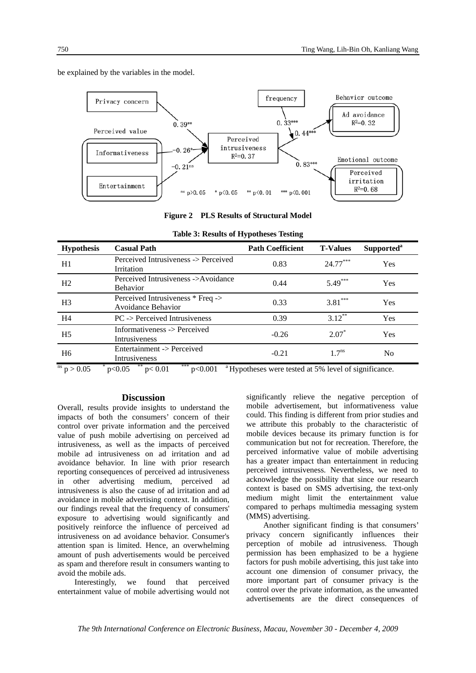

be explained by the variables in the model.

**Figure 2 PLS Results of Structural Model** 

| <b>Hypothesis</b> | <b>Casual Path</b>                                             | <b>Path Coefficient</b> | <b>T-Values</b> | Supported <sup>a</sup> |
|-------------------|----------------------------------------------------------------|-------------------------|-----------------|------------------------|
| H1                | Perceived Intrusiveness -> Perceived<br>Irritation             | 0.83                    | $24.77***$      | <b>Yes</b>             |
| H2                | Perceived Intrusiveness ->Avoidance<br><b>Behavior</b>         | 0.44                    | $5.49***$       | <b>Yes</b>             |
| H <sub>3</sub>    | Perceived Intrusiveness * Freq -><br><b>Avoidance Behavior</b> | 0.33                    | $3.81***$       | <b>Yes</b>             |
| H <sub>4</sub>    | $PC \rightarrow$ Perceived Intrusiveness                       | 0.39                    | $3.12***$       | <b>Yes</b>             |
| H <sub>5</sub>    | Informativeness -> Perceived<br><b>Intrusiveness</b>           | $-0.26$                 | $2.07*$         | <b>Yes</b>             |
| H <sub>6</sub>    | Entertainment -> Perceived<br>Intrusiveness                    | $-0.21$                 | $1.7^{ns}$      | N <sub>0</sub>         |

**Table 3: Results of Hypotheses Testing** 

 $p > 0.05$  $p<0.05$  \*\*  $p<0.01$  \*\*\*  $p<0.001$  a Hypotheses were tested at 5% level of significance.

#### **Discussion**

Overall, results provide insights to understand the impacts of both the consumers' concern of their control over private information and the perceived value of push mobile advertising on perceived ad intrusiveness, as well as the impacts of perceived mobile ad intrusiveness on ad irritation and ad avoidance behavior. In line with prior research reporting consequences of perceived ad intrusiveness in other advertising medium, perceived ad intrusiveness is also the cause of ad irritation and ad avoidance in mobile advertising context. In addition, our findings reveal that the frequency of consumers' exposure to advertising would significantly and positively reinforce the influence of perceived ad intrusiveness on ad avoidance behavior. Consumer's attention span is limited. Hence, an overwhelming amount of push advertisements would be perceived as spam and therefore result in consumers wanting to avoid the mobile ads.

Interestingly, we found that perceived entertainment value of mobile advertising would not significantly relieve the negative perception of mobile advertisement, but informativeness value could. This finding is different from prior studies and we attribute this probably to the characteristic of mobile devices because its primary function is for communication but not for recreation. Therefore, the perceived informative value of mobile advertising has a greater impact than entertainment in reducing perceived intrusiveness. Nevertheless, we need to acknowledge the possibility that since our research context is based on SMS advertising, the text-only medium might limit the entertainment value compared to perhaps multimedia messaging system (MMS) advertising.

Another significant finding is that consumers' privacy concern significantly influences their perception of mobile ad intrusiveness. Though permission has been emphasized to be a hygiene factors for push mobile advertising, this just take into account one dimension of consumer privacy, the more important part of consumer privacy is the control over the private information, as the unwanted advertisements are the direct consequences of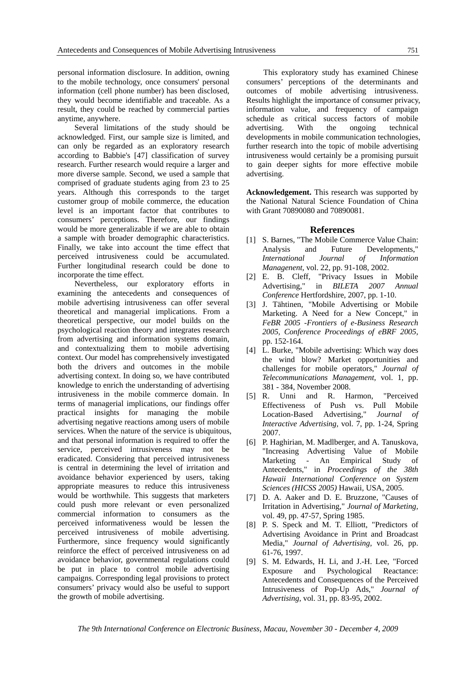personal information disclosure. In addition, owning to the mobile technology, once consumers' personal information (cell phone number) has been disclosed, they would become identifiable and traceable. As a result, they could be reached by commercial parties anytime, anywhere.

Several limitations of the study should be acknowledged. First, our sample size is limited, and can only be regarded as an exploratory research according to Babbie's [47] classification of survey research. Further research would require a larger and more diverse sample. Second, we used a sample that comprised of graduate students aging from 23 to 25 years. Although this corresponds to the target customer group of mobile commerce, the education level is an important factor that contributes to consumers' perceptions. Therefore, our findings would be more generalizable if we are able to obtain a sample with broader demographic characteristics. Finally, we take into account the time effect that perceived intrusiveness could be accumulated. Further longitudinal research could be done to incorporate the time effect.

Nevertheless, our exploratory efforts in examining the antecedents and consequences of mobile advertising intrusiveness can offer several theoretical and managerial implications. From a theoretical perspective, our model builds on the psychological reaction theory and integrates research from advertising and information systems domain, and contextualizing them to mobile advertising context. Our model has comprehensively investigated both the drivers and outcomes in the mobile advertising context. In doing so, we have contributed knowledge to enrich the understanding of advertising intrusiveness in the mobile commerce domain. In terms of managerial implications, our findings offer practical insights for managing the mobile advertising negative reactions among users of mobile services. When the nature of the service is ubiquitous, and that personal information is required to offer the service, perceived intrusiveness may not be eradicated. Considering that perceived intrusiveness is central in determining the level of irritation and avoidance behavior experienced by users, taking appropriate measures to reduce this intrusiveness would be worthwhile. This suggests that marketers could push more relevant or even personalized commercial information to consumers as the perceived informativeness would be lessen the perceived intrusiveness of mobile advertising. Furthermore, since frequency would significantly reinforce the effect of perceived intrusiveness on ad avoidance behavior, governmental regulations could be put in place to control mobile advertising campaigns. Corresponding legal provisions to protect consumers' privacy would also be useful to support the growth of mobile advertising.

This exploratory study has examined Chinese consumers' perceptions of the determinants and outcomes of mobile advertising intrusiveness. Results highlight the importance of consumer privacy, information value, and frequency of campaign schedule as critical success factors of mobile advertising. With the ongoing technical developments in mobile communication technologies, further research into the topic of mobile advertising intrusiveness would certainly be a promising pursuit to gain deeper sights for more effective mobile advertising.

**Acknowledgement.** This research was supported by the National Natural Science Foundation of China with Grant 70890080 and 70890081.

#### **References**

- [1] S. Barnes, "The Mobile Commerce Value Chain: Analysis and Future Developments," *International Journal of Information Managenent,* vol. 22, pp. 91-108, 2002.
- [2] E. B. Cleff, "Privacy Issues in Mobile Advertising," in *BILETA 2007 Annual Conference* Hertfordshire, 2007, pp. 1-10.
- [3] J. Tähtinen, "Mobile Advertising or Mobile Marketing. A Need for a New Concept," in *FeBR 2005 -Frontiers of e-Business Research 2005, Conference Proceedings of eBRF 2005*, pp. 152-164.
- [4] L. Burke, "Mobile advertising: Which way does the wind blow? Market opportunities and challenges for mobile operators," *Journal of Telecommunications Management,* vol. 1, pp. 381 - 384, November 2008.
- [5] R. Unni and R. Harmon, "Perceived Effectiveness of Push vs. Pull Mobile Location-Based Advertising," *Journal of Interactive Advertising,* vol. 7, pp. 1-24, Spring 2007.
- [6] P. Haghirian, M. Madlberger, and A. Tanuskova, "Increasing Advertising Value of Mobile Marketing - An Empirical Study of Antecedents," in *Proceedings of the 38th Hawaii International Conference on System Sciences (HICSS 2005)* Hawaii, USA, 2005.
- [7] D. A. Aaker and D. E. Bruzzone, "Causes of Irritation in Advertising," *Journal of Marketing,*  vol. 49, pp. 47-57, Spring 1985.
- [8] P. S. Speck and M. T. Elliott, "Predictors of Advertising Avoidance in Print and Broadcast Media," *Journal of Advertising,* vol. 26, pp. 61-76, 1997.
- [9] S. M. Edwards, H. Li, and J.-H. Lee, "Forced Exposure and Psychological Reactance: Antecedents and Consequences of the Perceived Intrusiveness of Pop-Up Ads," *Journal of Advertising,* vol. 31, pp. 83-95, 2002.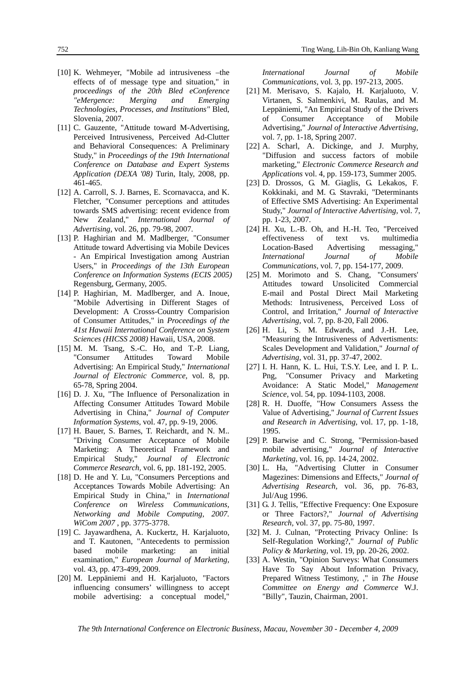- [10] K. Wehmeyer, "Mobile ad intrusiveness –the effects of of message type and situation," in *proceedings of the 20th Bled eConference "eMergence: Merging and Emerging Technologies, Processes, and Institutions"* Bled, Slovenia, 2007.
- [11] C. Gauzente, "Attitude toward M-Advertising, Perceived Intrusiveness, Perceived Ad-Clutter and Behavioral Consequences: A Preliminary Study," in *Proceedings of the 19th International Conference on Database and Expert Systems Application (DEXA '08)* Turin, Italy, 2008, pp. 461-465.
- [12] A. Carroll, S. J. Barnes, E. Scornavacca, and K. Fletcher, "Consumer perceptions and attitudes towards SMS advertising: recent evidence from New Zealand," *International Journal of Advertising,* vol. 26, pp. 79-98, 2007.
- [13] P. Haghirian and M. Madlberger, "Consumer Attitude toward Advertising via Mobile Devices - An Empirical Investigation among Austrian Users," in *Proceedings of the 13th European Conference on Information Systems (ECIS 2005)* Regensburg, Germany, 2005.
- [14] P. Haghirian, M. Madlberger, and A. Inoue, "Mobile Advertising in Different Stages of Development: A Crosss-Country Comparision of Consumer Attitudes," in *Proceedings of the 41st Hawaii International Conference on System Sciences (HICSS 2008)* Hawaii, USA, 2008.
- [15] M. M. Tsang, S.-C. Ho, and T.-P. Liang, "Consumer Attitudes Toward Mobile Advertising: An Empirical Study," *International Journal of Electronic Commerce,* vol. 8, pp. 65-78, Spring 2004.
- [16] D. J. Xu, "The Influence of Personalization in Affecting Consumer Attitudes Toward Mobile Advertising in China," *Journal of Computer Information Systems,* vol. 47, pp. 9-19, 2006.
- [17] H. Bauer, S. Barnes, T. Reichardt, and N. M.. "Driving Consumer Acceptance of Mobile Marketing: A Theoretical Framework and Empirical Study," *Journal of Electronic Commerce Research,* vol. 6, pp. 181-192, 2005.
- [18] D. He and Y. Lu, "Consumers Perceptions and Acceptances Towards Mobile Advertising: An Empirical Study in China," in *International Conference on Wireless Communications, Networking and Mobile Computing, 2007. WiCom 2007* , pp. 3775-3778.
- [19] C. Jayawardhena, A. Kuckertz, H. Karjaluoto, and T. Kautonen, "Antecedents to permission based mobile marketing: an initial examination," *European Journal of Marketing,*  vol. 43, pp. 473-499, 2009.
- [20] M. Leppäniemi and H. Karjaluoto, "Factors influencing consumers' willingness to accept mobile advertising: a conceptual model,"

*International Journal of Mobile Communications,* vol. 3, pp. 197-213, 2005.

- [21] M. Merisavo, S. Kajalo, H. Karjaluoto, V. Virtanen, S. Salmenkivi, M. Raulas, and M. Leppäniemi, "An Empirical Study of the Drivers of Consumer Acceptance of Mobile Advertising," *Journal of Interactive Advertising,*  vol. 7, pp. 1-18, Spring 2007.
- [22] A. Scharl, A. Dickinge, and J. Murphy, "Diffusion and success factors of mobile marketing," *Electronic Commerce Research and Applications* vol. 4, pp. 159-173, Summer 2005.
- [23] D. Drossos, G. M. Giaglis, G. Lekakos, F. Kokkinaki, and M. G. Stavraki, "Determinants of Effective SMS Advertising: An Experimental Study," *Journal of Interactive Advertising,* vol. 7, pp. 1-23, 2007.
- [24] H. Xu, L.-B. Oh, and H.-H. Teo, "Perceived effectiveness of text vs. multimedia Location-Based Advertising messaging," *International Journal of Mobile Communications,* vol. 7, pp. 154-177, 2009.
- [25] M. Morimoto and S. Chang, "Consumers' Attitudes toward Unsolicited Commercial E-mail and Postal Direct Mail Marketing Methods: Intrusiveness, Perceived Loss of Control, and Irritation," *Journal of Interactive Advertising,* vol. 7, pp. 8-20, Fall 2006.
- [26] H. Li, S. M. Edwards, and J.-H. Lee, "Measuring the Intrusiveness of Advertisments: Scales Development and Validation," *Journal of Advertising,* vol. 31, pp. 37-47, 2002.
- [27] I. H. Hann, K. L. Hui, T.S.Y. Lee, and I. P. L. Png, "Consumer Privacy and Marketing Avoidance: A Static Model," *Management Science,* vol. 54, pp. 1094-1103, 2008.
- [28] R. H. Duoffe, "How Consumers Assess the Value of Advertising," *Journal of Current Issues and Research in Advertising,* vol. 17, pp. 1-18, 1995.
- [29] P. Barwise and C. Strong, "Permission-based mobile advertising," *Journal of Interactive Marketing,* vol. 16, pp. 14-24, 2002.
- [30] L. Ha, "Advertising Clutter in Consumer Magezines: Dimensions and Effects," *Journal of Advertising Research,* vol. 36, pp. 76-83, Jul/Aug 1996.
- [31] G. J. Tellis, "Effective Frequency: One Exposure or Three Factors?," *Journal of Advertising Research,* vol. 37, pp. 75-80, 1997.
- [32] M. J. Culnan, "Protecting Privacy Online: Is Self-Regulation Working?," *Journal of Public Policy & Marketing,* vol. 19, pp. 20-26, 2002.
- [33] A. Westin, "Opinion Surveys: What Consumers Have To Say About Information Privacy, Prepared Witness Testimony, ," in *The House Committee on Energy and Commerce* W.J. "Billy", Tauzin, Chairman, 2001.